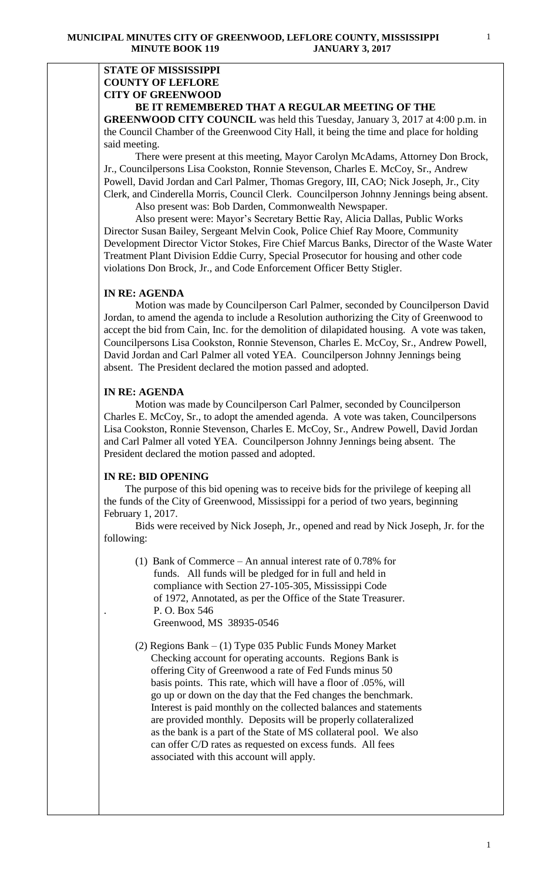### **STATE OF MISSISSIPPI COUNTY OF LEFLORE CITY OF GREENWOOD BE IT REMEMBERED THAT A REGULAR MEETING OF THE**

**GREENWOOD CITY COUNCIL** was held this Tuesday, January 3, 2017 at 4:00 p.m. in the Council Chamber of the Greenwood City Hall, it being the time and place for holding said meeting.

There were present at this meeting, Mayor Carolyn McAdams, Attorney Don Brock, Jr., Councilpersons Lisa Cookston, Ronnie Stevenson, Charles E. McCoy, Sr., Andrew Powell, David Jordan and Carl Palmer, Thomas Gregory, III, CAO; Nick Joseph, Jr., City Clerk, and Cinderella Morris, Council Clerk. Councilperson Johnny Jennings being absent.

Also present was: Bob Darden, Commonwealth Newspaper.

 Also present were: Mayor's Secretary Bettie Ray, Alicia Dallas, Public Works Director Susan Bailey, Sergeant Melvin Cook, Police Chief Ray Moore, Community Development Director Victor Stokes, Fire Chief Marcus Banks, Director of the Waste Water Treatment Plant Division Eddie Curry, Special Prosecutor for housing and other code violations Don Brock, Jr., and Code Enforcement Officer Betty Stigler.

## **IN RE: AGENDA**

 Motion was made by Councilperson Carl Palmer, seconded by Councilperson David Jordan, to amend the agenda to include a Resolution authorizing the City of Greenwood to accept the bid from Cain, Inc. for the demolition of dilapidated housing. A vote was taken, Councilpersons Lisa Cookston, Ronnie Stevenson, Charles E. McCoy, Sr., Andrew Powell, David Jordan and Carl Palmer all voted YEA. Councilperson Johnny Jennings being absent. The President declared the motion passed and adopted.

## **IN RE: AGENDA**

 Motion was made by Councilperson Carl Palmer, seconded by Councilperson Charles E. McCoy, Sr., to adopt the amended agenda. A vote was taken, Councilpersons Lisa Cookston, Ronnie Stevenson, Charles E. McCoy, Sr., Andrew Powell, David Jordan and Carl Palmer all voted YEA. Councilperson Johnny Jennings being absent. The President declared the motion passed and adopted.

## **IN RE: BID OPENING**

The purpose of this bid opening was to receive bids for the privilege of keeping all the funds of the City of Greenwood, Mississippi for a period of two years, beginning February 1, 2017.

Bids were received by Nick Joseph, Jr., opened and read by Nick Joseph, Jr. for the following:

- (1) Bank of Commerce An annual interest rate of 0.78% for funds. All funds will be pledged for in full and held in compliance with Section 27-105-305, Mississippi Code of 1972, Annotated, as per the Office of the State Treasurer. . P. O. Box 546 Greenwood, MS 38935-0546
- (2) Regions Bank (1) Type 035 Public Funds Money Market Checking account for operating accounts. Regions Bank is offering City of Greenwood a rate of Fed Funds minus 50 basis points. This rate, which will have a floor of .05%, will go up or down on the day that the Fed changes the benchmark. Interest is paid monthly on the collected balances and statements are provided monthly. Deposits will be properly collateralized as the bank is a part of the State of MS collateral pool. We also can offer C/D rates as requested on excess funds. All fees associated with this account will apply.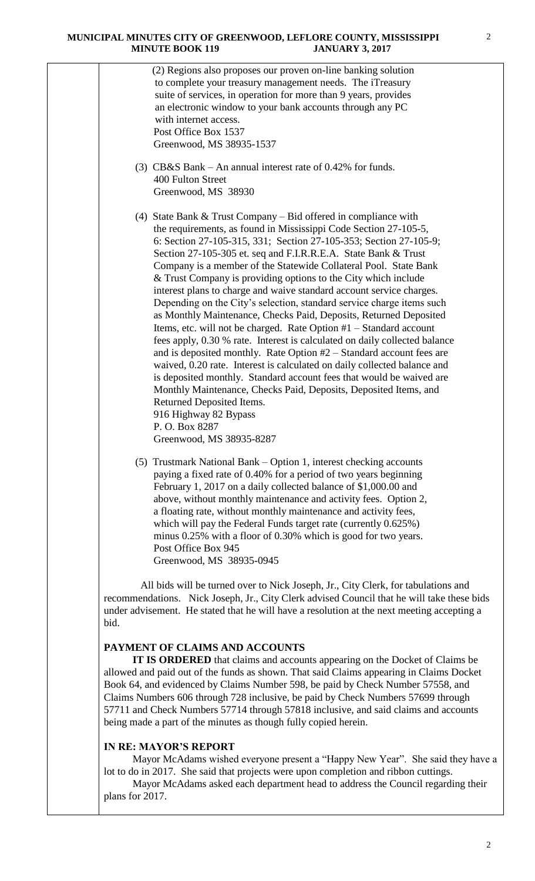|  | (2) Regions also proposes our proven on-line banking solution<br>to complete your treasury management needs. The iTreasury<br>suite of services, in operation for more than 9 years, provides<br>an electronic window to your bank accounts through any PC<br>with internet access.<br>Post Office Box 1537<br>Greenwood, MS 38935-1537                                                                                                                                                                                                                                                                                                                                                                                                                                                                                                                                                                                                                                                                                                                                                                                                                                                           |
|--|---------------------------------------------------------------------------------------------------------------------------------------------------------------------------------------------------------------------------------------------------------------------------------------------------------------------------------------------------------------------------------------------------------------------------------------------------------------------------------------------------------------------------------------------------------------------------------------------------------------------------------------------------------------------------------------------------------------------------------------------------------------------------------------------------------------------------------------------------------------------------------------------------------------------------------------------------------------------------------------------------------------------------------------------------------------------------------------------------------------------------------------------------------------------------------------------------|
|  | (3) $CB&S$ Bank – An annual interest rate of 0.42% for funds.<br>400 Fulton Street<br>Greenwood, MS 38930                                                                                                                                                                                                                                                                                                                                                                                                                                                                                                                                                                                                                                                                                                                                                                                                                                                                                                                                                                                                                                                                                         |
|  | (4) State Bank $&$ Trust Company – Bid offered in compliance with<br>the requirements, as found in Mississippi Code Section 27-105-5,<br>6: Section 27-105-315, 331; Section 27-105-353; Section 27-105-9;<br>Section 27-105-305 et. seq and F.I.R.R.E.A. State Bank & Trust<br>Company is a member of the Statewide Collateral Pool. State Bank<br>& Trust Company is providing options to the City which include<br>interest plans to charge and waive standard account service charges.<br>Depending on the City's selection, standard service charge items such<br>as Monthly Maintenance, Checks Paid, Deposits, Returned Deposited<br>Items, etc. will not be charged. Rate Option #1 – Standard account<br>fees apply, 0.30 % rate. Interest is calculated on daily collected balance<br>and is deposited monthly. Rate Option $#2 -$ Standard account fees are<br>waived, 0.20 rate. Interest is calculated on daily collected balance and<br>is deposited monthly. Standard account fees that would be waived are<br>Monthly Maintenance, Checks Paid, Deposits, Deposited Items, and<br>Returned Deposited Items.<br>916 Highway 82 Bypass<br>P.O. Box 8287<br>Greenwood, MS 38935-8287 |
|  | (5) Trustmark National Bank – Option 1, interest checking accounts<br>paying a fixed rate of 0.40% for a period of two years beginning<br>February 1, 2017 on a daily collected balance of \$1,000.00 and<br>above, without monthly maintenance and activity fees. Option 2,<br>a floating rate, without monthly maintenance and activity fees,<br>which will pay the Federal Funds target rate (currently 0.625%)<br>minus 0.25% with a floor of 0.30% which is good for two years.<br>Post Office Box 945                                                                                                                                                                                                                                                                                                                                                                                                                                                                                                                                                                                                                                                                                       |

Greenwood, MS 38935-0945

 All bids will be turned over to Nick Joseph, Jr., City Clerk, for tabulations and recommendations. Nick Joseph, Jr., City Clerk advised Council that he will take these bids under advisement. He stated that he will have a resolution at the next meeting accepting a bid.

## **PAYMENT OF CLAIMS AND ACCOUNTS**

 **IT IS ORDERED** that claims and accounts appearing on the Docket of Claims be allowed and paid out of the funds as shown. That said Claims appearing in Claims Docket Book 64, and evidenced by Claims Number 598, be paid by Check Number 57558, and Claims Numbers 606 through 728 inclusive, be paid by Check Numbers 57699 through 57711 and Check Numbers 57714 through 57818 inclusive, and said claims and accounts being made a part of the minutes as though fully copied herein.

# **IN RE: MAYOR'S REPORT**

Mayor McAdams wished everyone present a "Happy New Year". She said they have a lot to do in 2017. She said that projects were upon completion and ribbon cuttings.

 Mayor McAdams asked each department head to address the Council regarding their plans for 2017.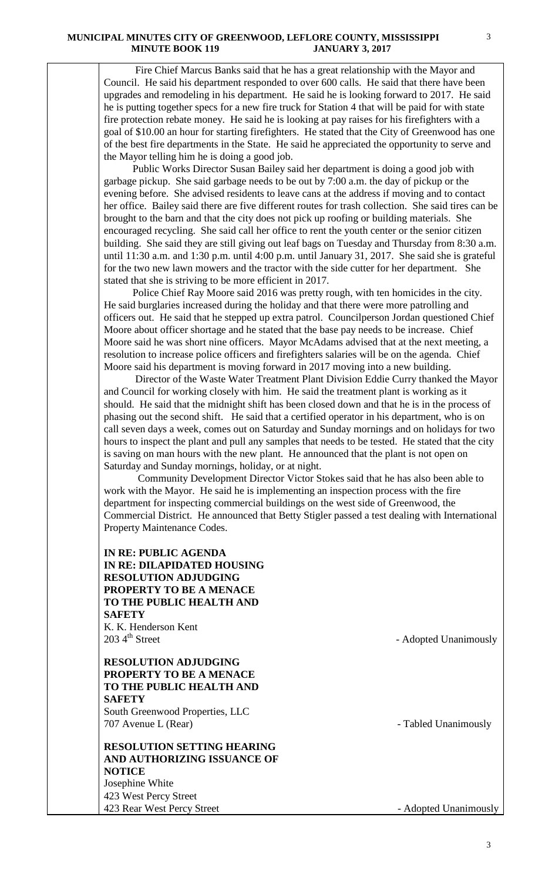Fire Chief Marcus Banks said that he has a great relationship with the Mayor and Council. He said his department responded to over 600 calls. He said that there have been upgrades and remodeling in his department. He said he is looking forward to 2017. He said he is putting together specs for a new fire truck for Station 4 that will be paid for with state fire protection rebate money. He said he is looking at pay raises for his firefighters with a goal of \$10.00 an hour for starting firefighters. He stated that the City of Greenwood has one of the best fire departments in the State. He said he appreciated the opportunity to serve and the Mayor telling him he is doing a good job.

 Public Works Director Susan Bailey said her department is doing a good job with garbage pickup. She said garbage needs to be out by 7:00 a.m. the day of pickup or the evening before. She advised residents to leave cans at the address if moving and to contact her office. Bailey said there are five different routes for trash collection. She said tires can be brought to the barn and that the city does not pick up roofing or building materials. She encouraged recycling. She said call her office to rent the youth center or the senior citizen building. She said they are still giving out leaf bags on Tuesday and Thursday from 8:30 a.m. until 11:30 a.m. and 1:30 p.m. until 4:00 p.m. until January 31, 2017. She said she is grateful for the two new lawn mowers and the tractor with the side cutter for her department. She stated that she is striving to be more efficient in 2017.

 Police Chief Ray Moore said 2016 was pretty rough, with ten homicides in the city. He said burglaries increased during the holiday and that there were more patrolling and officers out. He said that he stepped up extra patrol. Councilperson Jordan questioned Chief Moore about officer shortage and he stated that the base pay needs to be increase. Chief Moore said he was short nine officers. Mayor McAdams advised that at the next meeting, a resolution to increase police officers and firefighters salaries will be on the agenda. Chief Moore said his department is moving forward in 2017 moving into a new building.

 Director of the Waste Water Treatment Plant Division Eddie Curry thanked the Mayor and Council for working closely with him. He said the treatment plant is working as it should. He said that the midnight shift has been closed down and that he is in the process of phasing out the second shift. He said that a certified operator in his department, who is on call seven days a week, comes out on Saturday and Sunday mornings and on holidays for two hours to inspect the plant and pull any samples that needs to be tested. He stated that the city is saving on man hours with the new plant. He announced that the plant is not open on Saturday and Sunday mornings, holiday, or at night.

 Community Development Director Victor Stokes said that he has also been able to work with the Mayor. He said he is implementing an inspection process with the fire department for inspecting commercial buildings on the west side of Greenwood, the Commercial District. He announced that Betty Stigler passed a test dealing with International Property Maintenance Codes.

# **IN RE: PUBLIC AGENDA IN RE: DILAPIDATED HOUSING RESOLUTION ADJUDGING PROPERTY TO BE A MENACE TO THE PUBLIC HEALTH AND SAFETY** K. K. Henderson Kent  $203 \, 4^{\text{th}}$  Street - Adopted Unanimously **RESOLUTION ADJUDGING PROPERTY TO BE A MENACE TO THE PUBLIC HEALTH AND SAFETY** South Greenwood Properties, LLC 707 Avenue L (Rear) **- Tabled Unanimously RESOLUTION SETTING HEARING AND AUTHORIZING ISSUANCE OF NOTICE** Josephine White 423 West Percy Street 423 Rear West Percy Street **- Adopted Unanimously**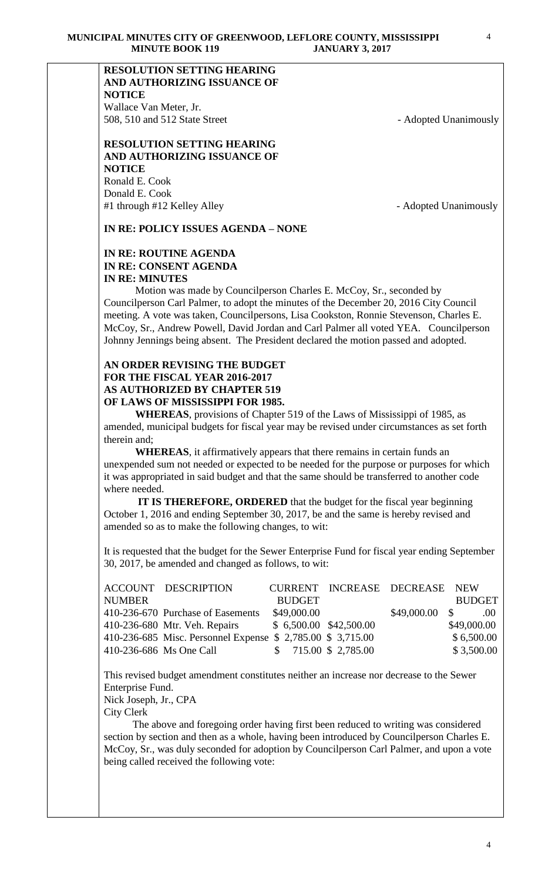# **RESOLUTION SETTING HEARING AND AUTHORIZING ISSUANCE OF NOTICE**

Wallace Van Meter, Jr. 508, 510 and 512 State Street - Adopted Unanimously

## **RESOLUTION SETTING HEARING AND AUTHORIZING ISSUANCE OF NOTICE** Ronald E. Cook Donald E. Cook

#1 through #12 Kelley Alley **Alley Fig. 2018** - Adopted Unanimously

**IN RE: POLICY ISSUES AGENDA – NONE**

# **IN RE: ROUTINE AGENDA IN RE: CONSENT AGENDA IN RE: MINUTES**

 Motion was made by Councilperson Charles E. McCoy, Sr., seconded by Councilperson Carl Palmer, to adopt the minutes of the December 20, 2016 City Council meeting. A vote was taken, Councilpersons, Lisa Cookston, Ronnie Stevenson, Charles E. McCoy, Sr., Andrew Powell, David Jordan and Carl Palmer all voted YEA. Councilperson Johnny Jennings being absent. The President declared the motion passed and adopted.

# **AN ORDER REVISING THE BUDGET FOR THE FISCAL YEAR 2016-2017 AS AUTHORIZED BY CHAPTER 519 OF LAWS OF MISSISSIPPI FOR 1985.**

**WHEREAS**, provisions of Chapter 519 of the Laws of Mississippi of 1985, as amended, municipal budgets for fiscal year may be revised under circumstances as set forth therein and;

**WHEREAS**, it affirmatively appears that there remains in certain funds an unexpended sum not needed or expected to be needed for the purpose or purposes for which it was appropriated in said budget and that the same should be transferred to another code where needed.

 **IT IS THEREFORE, ORDERED** that the budget for the fiscal year beginning October 1, 2016 and ending September 30, 2017, be and the same is hereby revised and amended so as to make the following changes, to wit:

It is requested that the budget for the Sewer Enterprise Fund for fiscal year ending September 30, 2017, be amended and changed as follows, to wit:

|               | <b>ACCOUNT DESCRIPTION</b>                                  |               | CURRENT INCREASE DECREASE NEW |                 |               |            |
|---------------|-------------------------------------------------------------|---------------|-------------------------------|-----------------|---------------|------------|
| <b>NUMBER</b> |                                                             | <b>BUDGET</b> |                               |                 | <b>BUDGET</b> |            |
|               | 410-236-670 Purchase of Easements                           | \$49,000.00   |                               | $$49,000.00$ \$ |               | $00 \ \mu$ |
|               | 410-236-680 Mtr. Veh. Repairs                               |               | $$6,500.00$ $$42,500.00$      |                 | \$49,000.00   |            |
|               | 410-236-685 Misc. Personnel Expense \$ 2,785.00 \$ 3,715.00 |               |                               |                 | \$6,500.00    |            |
|               | 410-236-686 Ms One Call                                     |               | $$715.00 \$2,785.00$          |                 | \$3,500.00    |            |

This revised budget amendment constitutes neither an increase nor decrease to the Sewer Enterprise Fund.

Nick Joseph, Jr., CPA

City Clerk

 The above and foregoing order having first been reduced to writing was considered section by section and then as a whole, having been introduced by Councilperson Charles E. McCoy, Sr., was duly seconded for adoption by Councilperson Carl Palmer, and upon a vote being called received the following vote: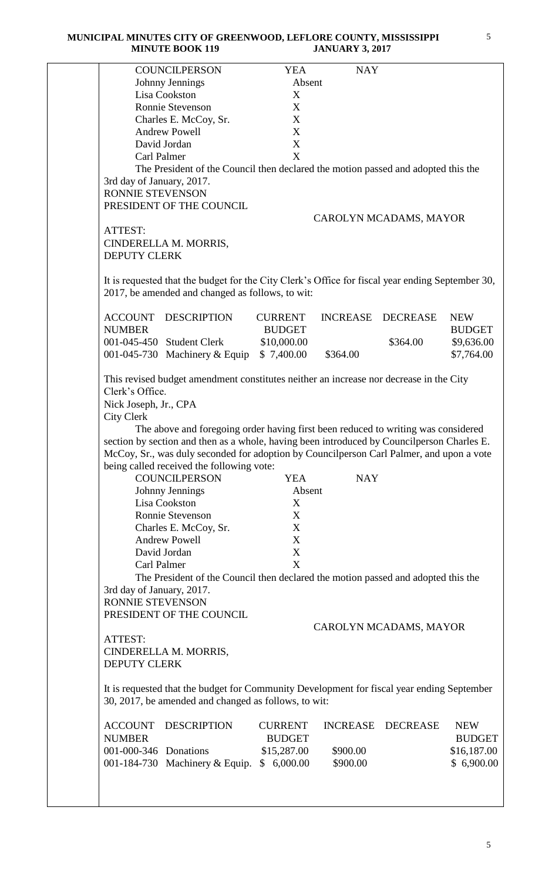|                                                               | <b>COUNCILPERSON</b>                                                                                                                                 | <b>YEA</b>                      | <b>NAY</b>      |                        |                             |
|---------------------------------------------------------------|------------------------------------------------------------------------------------------------------------------------------------------------------|---------------------------------|-----------------|------------------------|-----------------------------|
|                                                               | Johnny Jennings                                                                                                                                      | Absent                          |                 |                        |                             |
|                                                               | Lisa Cookston                                                                                                                                        | X                               |                 |                        |                             |
|                                                               | Ronnie Stevenson                                                                                                                                     | X                               |                 |                        |                             |
|                                                               | Charles E. McCoy, Sr.                                                                                                                                | X                               |                 |                        |                             |
|                                                               | <b>Andrew Powell</b>                                                                                                                                 | $\mathbf X$                     |                 |                        |                             |
|                                                               | David Jordan                                                                                                                                         | X                               |                 |                        |                             |
| Carl Palmer                                                   |                                                                                                                                                      | X                               |                 |                        |                             |
|                                                               | The President of the Council then declared the motion passed and adopted this the                                                                    |                                 |                 |                        |                             |
| 3rd day of January, 2017.                                     |                                                                                                                                                      |                                 |                 |                        |                             |
| RONNIE STEVENSON                                              |                                                                                                                                                      |                                 |                 |                        |                             |
|                                                               | PRESIDENT OF THE COUNCIL                                                                                                                             |                                 |                 |                        |                             |
|                                                               |                                                                                                                                                      |                                 |                 | CAROLYN MCADAMS, MAYOR |                             |
| ATTEST:                                                       |                                                                                                                                                      |                                 |                 |                        |                             |
|                                                               | CINDERELLA M. MORRIS,                                                                                                                                |                                 |                 |                        |                             |
| <b>DEPUTY CLERK</b>                                           |                                                                                                                                                      |                                 |                 |                        |                             |
|                                                               |                                                                                                                                                      |                                 |                 |                        |                             |
|                                                               | It is requested that the budget for the City Clerk's Office for fiscal year ending September 30,<br>2017, be amended and changed as follows, to wit: |                                 |                 |                        |                             |
| <b>ACCOUNT</b><br><b>NUMBER</b>                               | <b>DESCRIPTION</b>                                                                                                                                   | <b>CURRENT</b><br><b>BUDGET</b> | <b>INCREASE</b> | <b>DECREASE</b>        | <b>NEW</b><br><b>BUDGET</b> |
|                                                               | 001-045-450 Student Clerk                                                                                                                            | \$10,000.00                     |                 | \$364.00               | \$9,636.00                  |
|                                                               | 001-045-730 Machinery $& \text{Equip}$                                                                                                               | \$7,400.00                      | \$364.00        |                        | \$7,764.00                  |
|                                                               |                                                                                                                                                      |                                 |                 |                        |                             |
| Clerk's Office.<br>Nick Joseph, Jr., CPA<br><b>City Clerk</b> | This revised budget amendment constitutes neither an increase nor decrease in the City                                                               |                                 |                 |                        |                             |
|                                                               | The above and foregoing order having first been reduced to writing was considered                                                                    |                                 |                 |                        |                             |
|                                                               | section by section and then as a whole, having been introduced by Council person Charles E.                                                          |                                 |                 |                        |                             |
|                                                               | McCoy, Sr., was duly seconded for adoption by Councilperson Carl Palmer, and upon a vote                                                             |                                 |                 |                        |                             |
|                                                               | being called received the following vote:                                                                                                            |                                 |                 |                        |                             |
|                                                               | <b>COUNCILPERSON</b>                                                                                                                                 | <b>YEA</b>                      | <b>NAY</b>      |                        |                             |
|                                                               | Johnny Jennings                                                                                                                                      | Absent                          |                 |                        |                             |
|                                                               | Lisa Cookston                                                                                                                                        | X                               |                 |                        |                             |
|                                                               | <b>Ronnie Stevenson</b>                                                                                                                              | X                               |                 |                        |                             |
|                                                               | Charles E. McCoy, Sr.                                                                                                                                | $\boldsymbol{X}$                |                 |                        |                             |
|                                                               | <b>Andrew Powell</b>                                                                                                                                 | $\mathbf X$                     |                 |                        |                             |
|                                                               | David Jordan                                                                                                                                         | $\mathbf X$                     |                 |                        |                             |
| Carl Palmer                                                   |                                                                                                                                                      | X                               |                 |                        |                             |
|                                                               | The President of the Council then declared the motion passed and adopted this the                                                                    |                                 |                 |                        |                             |
| 3rd day of January, 2017.                                     |                                                                                                                                                      |                                 |                 |                        |                             |
| RONNIE STEVENSON                                              |                                                                                                                                                      |                                 |                 |                        |                             |
|                                                               | PRESIDENT OF THE COUNCIL                                                                                                                             |                                 |                 |                        |                             |
|                                                               |                                                                                                                                                      |                                 |                 | CAROLYN MCADAMS, MAYOR |                             |
| ATTEST:                                                       |                                                                                                                                                      |                                 |                 |                        |                             |
|                                                               | CINDERELLA M. MORRIS,                                                                                                                                |                                 |                 |                        |                             |
| <b>DEPUTY CLERK</b>                                           |                                                                                                                                                      |                                 |                 |                        |                             |
|                                                               |                                                                                                                                                      |                                 |                 |                        |                             |
|                                                               | It is requested that the budget for Community Development for fiscal year ending September<br>30, 2017, be amended and changed as follows, to wit:   |                                 |                 |                        |                             |
| <b>ACCOUNT</b>                                                | <b>DESCRIPTION</b>                                                                                                                                   | <b>CURRENT</b>                  | <b>INCREASE</b> | <b>DECREASE</b>        | <b>NEW</b>                  |
| <b>NUMBER</b>                                                 |                                                                                                                                                      | <b>BUDGET</b>                   |                 |                        | <b>BUDGET</b>               |
|                                                               |                                                                                                                                                      |                                 |                 |                        |                             |
|                                                               |                                                                                                                                                      |                                 |                 |                        |                             |
| 001-000-346 Donations                                         |                                                                                                                                                      | \$15,287.00                     | \$900.00        |                        | \$16,187.00                 |
|                                                               | 001-184-730 Machinery & Equip.                                                                                                                       | \$6,000.00                      | \$900.00        |                        | \$6,900.00                  |
|                                                               |                                                                                                                                                      |                                 |                 |                        |                             |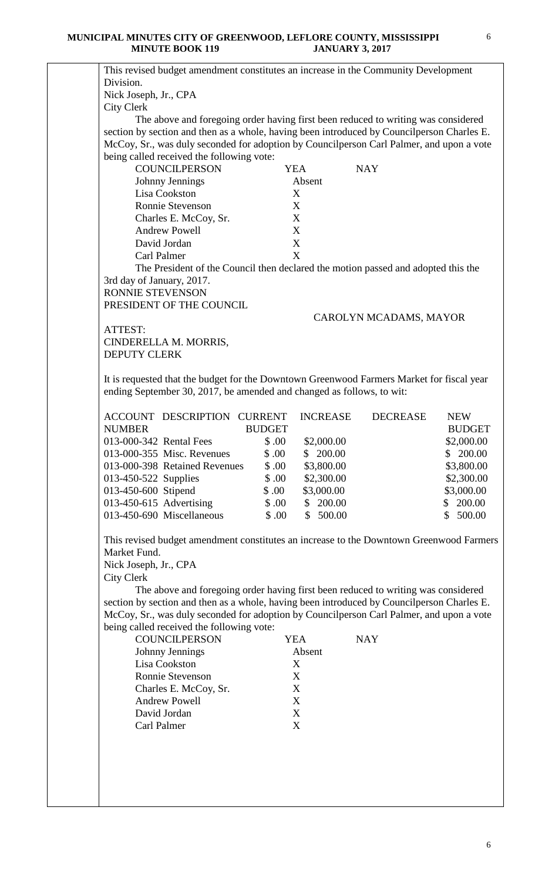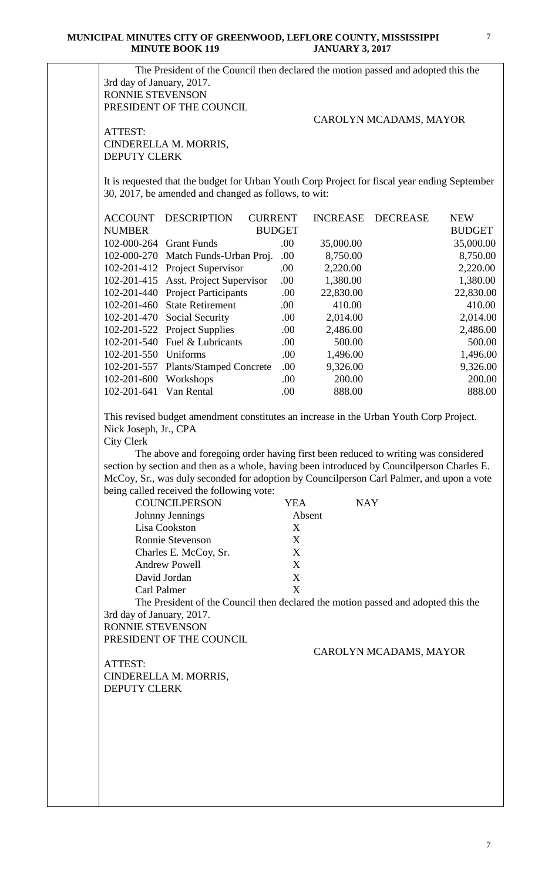| ATTEST:<br>CINDERELLA M. MORRIS,<br><b>DEPUTY CLERK</b><br>It is requested that the budget for Urban Youth Corp Project for fiscal year ending September<br>30, 2017, be amended and changed as follows, to wit:<br><b>ACCOUNT</b><br><b>DESCRIPTION</b><br><b>CURRENT</b><br><b>INCREASE</b><br><b>DECREASE</b><br><b>NUMBER</b><br><b>BUDGET</b><br>102-000-264 Grant Funds<br>.00<br>35,000.00<br>102-000-270 Match Funds-Urban Proj.<br>.00.<br>8,750.00<br>102-201-412 Project Supervisor<br>.00<br>2,220.00<br>102-201-415 Asst. Project Supervisor<br>.00<br>1,380.00<br>102-201-440 Project Participants<br>.00<br>22,830.00<br>102-201-460 State Retirement<br>410.00<br>.00.<br>102-201-470<br>Social Security<br>.00<br>2,014.00<br>102-201-522 Project Supplies<br>.00<br>2,486.00<br>102-201-540 Fuel & Lubricants<br>500.00<br>.00<br>Uniforms<br>102-201-550<br>.00<br>1,496.00<br>.00<br>102-201-557<br><b>Plants/Stamped Concrete</b><br>9,326.00<br>200.00<br>102-201-600<br>Workshops<br>.00<br>102-201-641<br>Van Rental<br>888.00<br>.00<br>This revised budget amendment constitutes an increase in the Urban Youth Corp Project.<br>Nick Joseph, Jr., CPA<br><b>City Clerk</b><br>section by section and then as a whole, having been introduced by Council person Charles E.<br>McCoy, Sr., was duly seconded for adoption by Councilperson Carl Palmer, and upon a vote<br>being called received the following vote:<br><b>COUNCILPERSON</b><br><b>YEA</b><br><b>NAY</b><br>Johnny Jennings<br>Absent<br>Lisa Cookston<br>X<br>Ronnie Stevenson<br>X<br>Charles E. McCoy, Sr.<br>X<br><b>Andrew Powell</b><br>X<br>X<br>David Jordan<br>X<br>Carl Palmer<br>3rd day of January, 2017.<br>RONNIE STEVENSON<br>PRESIDENT OF THE COUNCIL<br>CAROLYN MCADAMS, MAYOR<br>ATTEST:<br>CINDERELLA M. MORRIS,<br><b>DEPUTY CLERK</b> | <b>BUDGET</b><br>35,000.00<br>8,750.00<br>2,220.00<br>1,380.00<br>22,830.00<br>2,014.00<br>2,486.00<br>1,496.00<br>9,326.00<br>The above and foregoing order having first been reduced to writing was considered<br>The President of the Council then declared the motion passed and adopted this the |  |  | CAROLYN MCADAMS, MAYOR |            |
|-----------------------------------------------------------------------------------------------------------------------------------------------------------------------------------------------------------------------------------------------------------------------------------------------------------------------------------------------------------------------------------------------------------------------------------------------------------------------------------------------------------------------------------------------------------------------------------------------------------------------------------------------------------------------------------------------------------------------------------------------------------------------------------------------------------------------------------------------------------------------------------------------------------------------------------------------------------------------------------------------------------------------------------------------------------------------------------------------------------------------------------------------------------------------------------------------------------------------------------------------------------------------------------------------------------------------------------------------------------------------------------------------------------------------------------------------------------------------------------------------------------------------------------------------------------------------------------------------------------------------------------------------------------------------------------------------------------------------------------------------------------------------------------------------------------------------------------------------------|-------------------------------------------------------------------------------------------------------------------------------------------------------------------------------------------------------------------------------------------------------------------------------------------------------|--|--|------------------------|------------|
|                                                                                                                                                                                                                                                                                                                                                                                                                                                                                                                                                                                                                                                                                                                                                                                                                                                                                                                                                                                                                                                                                                                                                                                                                                                                                                                                                                                                                                                                                                                                                                                                                                                                                                                                                                                                                                                     |                                                                                                                                                                                                                                                                                                       |  |  |                        |            |
|                                                                                                                                                                                                                                                                                                                                                                                                                                                                                                                                                                                                                                                                                                                                                                                                                                                                                                                                                                                                                                                                                                                                                                                                                                                                                                                                                                                                                                                                                                                                                                                                                                                                                                                                                                                                                                                     |                                                                                                                                                                                                                                                                                                       |  |  |                        |            |
|                                                                                                                                                                                                                                                                                                                                                                                                                                                                                                                                                                                                                                                                                                                                                                                                                                                                                                                                                                                                                                                                                                                                                                                                                                                                                                                                                                                                                                                                                                                                                                                                                                                                                                                                                                                                                                                     |                                                                                                                                                                                                                                                                                                       |  |  |                        | <b>NEW</b> |
|                                                                                                                                                                                                                                                                                                                                                                                                                                                                                                                                                                                                                                                                                                                                                                                                                                                                                                                                                                                                                                                                                                                                                                                                                                                                                                                                                                                                                                                                                                                                                                                                                                                                                                                                                                                                                                                     |                                                                                                                                                                                                                                                                                                       |  |  |                        |            |
|                                                                                                                                                                                                                                                                                                                                                                                                                                                                                                                                                                                                                                                                                                                                                                                                                                                                                                                                                                                                                                                                                                                                                                                                                                                                                                                                                                                                                                                                                                                                                                                                                                                                                                                                                                                                                                                     |                                                                                                                                                                                                                                                                                                       |  |  |                        |            |
|                                                                                                                                                                                                                                                                                                                                                                                                                                                                                                                                                                                                                                                                                                                                                                                                                                                                                                                                                                                                                                                                                                                                                                                                                                                                                                                                                                                                                                                                                                                                                                                                                                                                                                                                                                                                                                                     |                                                                                                                                                                                                                                                                                                       |  |  |                        |            |
|                                                                                                                                                                                                                                                                                                                                                                                                                                                                                                                                                                                                                                                                                                                                                                                                                                                                                                                                                                                                                                                                                                                                                                                                                                                                                                                                                                                                                                                                                                                                                                                                                                                                                                                                                                                                                                                     |                                                                                                                                                                                                                                                                                                       |  |  |                        |            |
|                                                                                                                                                                                                                                                                                                                                                                                                                                                                                                                                                                                                                                                                                                                                                                                                                                                                                                                                                                                                                                                                                                                                                                                                                                                                                                                                                                                                                                                                                                                                                                                                                                                                                                                                                                                                                                                     |                                                                                                                                                                                                                                                                                                       |  |  |                        |            |
|                                                                                                                                                                                                                                                                                                                                                                                                                                                                                                                                                                                                                                                                                                                                                                                                                                                                                                                                                                                                                                                                                                                                                                                                                                                                                                                                                                                                                                                                                                                                                                                                                                                                                                                                                                                                                                                     |                                                                                                                                                                                                                                                                                                       |  |  |                        |            |
|                                                                                                                                                                                                                                                                                                                                                                                                                                                                                                                                                                                                                                                                                                                                                                                                                                                                                                                                                                                                                                                                                                                                                                                                                                                                                                                                                                                                                                                                                                                                                                                                                                                                                                                                                                                                                                                     |                                                                                                                                                                                                                                                                                                       |  |  |                        | 410.00     |
|                                                                                                                                                                                                                                                                                                                                                                                                                                                                                                                                                                                                                                                                                                                                                                                                                                                                                                                                                                                                                                                                                                                                                                                                                                                                                                                                                                                                                                                                                                                                                                                                                                                                                                                                                                                                                                                     |                                                                                                                                                                                                                                                                                                       |  |  |                        |            |
|                                                                                                                                                                                                                                                                                                                                                                                                                                                                                                                                                                                                                                                                                                                                                                                                                                                                                                                                                                                                                                                                                                                                                                                                                                                                                                                                                                                                                                                                                                                                                                                                                                                                                                                                                                                                                                                     |                                                                                                                                                                                                                                                                                                       |  |  |                        | 500.00     |
|                                                                                                                                                                                                                                                                                                                                                                                                                                                                                                                                                                                                                                                                                                                                                                                                                                                                                                                                                                                                                                                                                                                                                                                                                                                                                                                                                                                                                                                                                                                                                                                                                                                                                                                                                                                                                                                     |                                                                                                                                                                                                                                                                                                       |  |  |                        |            |
|                                                                                                                                                                                                                                                                                                                                                                                                                                                                                                                                                                                                                                                                                                                                                                                                                                                                                                                                                                                                                                                                                                                                                                                                                                                                                                                                                                                                                                                                                                                                                                                                                                                                                                                                                                                                                                                     |                                                                                                                                                                                                                                                                                                       |  |  |                        |            |
|                                                                                                                                                                                                                                                                                                                                                                                                                                                                                                                                                                                                                                                                                                                                                                                                                                                                                                                                                                                                                                                                                                                                                                                                                                                                                                                                                                                                                                                                                                                                                                                                                                                                                                                                                                                                                                                     |                                                                                                                                                                                                                                                                                                       |  |  |                        | 200.00     |
|                                                                                                                                                                                                                                                                                                                                                                                                                                                                                                                                                                                                                                                                                                                                                                                                                                                                                                                                                                                                                                                                                                                                                                                                                                                                                                                                                                                                                                                                                                                                                                                                                                                                                                                                                                                                                                                     |                                                                                                                                                                                                                                                                                                       |  |  |                        | 888.00     |
|                                                                                                                                                                                                                                                                                                                                                                                                                                                                                                                                                                                                                                                                                                                                                                                                                                                                                                                                                                                                                                                                                                                                                                                                                                                                                                                                                                                                                                                                                                                                                                                                                                                                                                                                                                                                                                                     |                                                                                                                                                                                                                                                                                                       |  |  |                        |            |
|                                                                                                                                                                                                                                                                                                                                                                                                                                                                                                                                                                                                                                                                                                                                                                                                                                                                                                                                                                                                                                                                                                                                                                                                                                                                                                                                                                                                                                                                                                                                                                                                                                                                                                                                                                                                                                                     |                                                                                                                                                                                                                                                                                                       |  |  |                        |            |
|                                                                                                                                                                                                                                                                                                                                                                                                                                                                                                                                                                                                                                                                                                                                                                                                                                                                                                                                                                                                                                                                                                                                                                                                                                                                                                                                                                                                                                                                                                                                                                                                                                                                                                                                                                                                                                                     |                                                                                                                                                                                                                                                                                                       |  |  |                        |            |
|                                                                                                                                                                                                                                                                                                                                                                                                                                                                                                                                                                                                                                                                                                                                                                                                                                                                                                                                                                                                                                                                                                                                                                                                                                                                                                                                                                                                                                                                                                                                                                                                                                                                                                                                                                                                                                                     |                                                                                                                                                                                                                                                                                                       |  |  |                        |            |
|                                                                                                                                                                                                                                                                                                                                                                                                                                                                                                                                                                                                                                                                                                                                                                                                                                                                                                                                                                                                                                                                                                                                                                                                                                                                                                                                                                                                                                                                                                                                                                                                                                                                                                                                                                                                                                                     |                                                                                                                                                                                                                                                                                                       |  |  |                        |            |
|                                                                                                                                                                                                                                                                                                                                                                                                                                                                                                                                                                                                                                                                                                                                                                                                                                                                                                                                                                                                                                                                                                                                                                                                                                                                                                                                                                                                                                                                                                                                                                                                                                                                                                                                                                                                                                                     |                                                                                                                                                                                                                                                                                                       |  |  |                        |            |
|                                                                                                                                                                                                                                                                                                                                                                                                                                                                                                                                                                                                                                                                                                                                                                                                                                                                                                                                                                                                                                                                                                                                                                                                                                                                                                                                                                                                                                                                                                                                                                                                                                                                                                                                                                                                                                                     |                                                                                                                                                                                                                                                                                                       |  |  |                        |            |
|                                                                                                                                                                                                                                                                                                                                                                                                                                                                                                                                                                                                                                                                                                                                                                                                                                                                                                                                                                                                                                                                                                                                                                                                                                                                                                                                                                                                                                                                                                                                                                                                                                                                                                                                                                                                                                                     |                                                                                                                                                                                                                                                                                                       |  |  |                        |            |
|                                                                                                                                                                                                                                                                                                                                                                                                                                                                                                                                                                                                                                                                                                                                                                                                                                                                                                                                                                                                                                                                                                                                                                                                                                                                                                                                                                                                                                                                                                                                                                                                                                                                                                                                                                                                                                                     |                                                                                                                                                                                                                                                                                                       |  |  |                        |            |
|                                                                                                                                                                                                                                                                                                                                                                                                                                                                                                                                                                                                                                                                                                                                                                                                                                                                                                                                                                                                                                                                                                                                                                                                                                                                                                                                                                                                                                                                                                                                                                                                                                                                                                                                                                                                                                                     |                                                                                                                                                                                                                                                                                                       |  |  |                        |            |
|                                                                                                                                                                                                                                                                                                                                                                                                                                                                                                                                                                                                                                                                                                                                                                                                                                                                                                                                                                                                                                                                                                                                                                                                                                                                                                                                                                                                                                                                                                                                                                                                                                                                                                                                                                                                                                                     |                                                                                                                                                                                                                                                                                                       |  |  |                        |            |
|                                                                                                                                                                                                                                                                                                                                                                                                                                                                                                                                                                                                                                                                                                                                                                                                                                                                                                                                                                                                                                                                                                                                                                                                                                                                                                                                                                                                                                                                                                                                                                                                                                                                                                                                                                                                                                                     |                                                                                                                                                                                                                                                                                                       |  |  |                        |            |
|                                                                                                                                                                                                                                                                                                                                                                                                                                                                                                                                                                                                                                                                                                                                                                                                                                                                                                                                                                                                                                                                                                                                                                                                                                                                                                                                                                                                                                                                                                                                                                                                                                                                                                                                                                                                                                                     |                                                                                                                                                                                                                                                                                                       |  |  |                        |            |
|                                                                                                                                                                                                                                                                                                                                                                                                                                                                                                                                                                                                                                                                                                                                                                                                                                                                                                                                                                                                                                                                                                                                                                                                                                                                                                                                                                                                                                                                                                                                                                                                                                                                                                                                                                                                                                                     |                                                                                                                                                                                                                                                                                                       |  |  |                        |            |
|                                                                                                                                                                                                                                                                                                                                                                                                                                                                                                                                                                                                                                                                                                                                                                                                                                                                                                                                                                                                                                                                                                                                                                                                                                                                                                                                                                                                                                                                                                                                                                                                                                                                                                                                                                                                                                                     |                                                                                                                                                                                                                                                                                                       |  |  |                        |            |
|                                                                                                                                                                                                                                                                                                                                                                                                                                                                                                                                                                                                                                                                                                                                                                                                                                                                                                                                                                                                                                                                                                                                                                                                                                                                                                                                                                                                                                                                                                                                                                                                                                                                                                                                                                                                                                                     |                                                                                                                                                                                                                                                                                                       |  |  |                        |            |
|                                                                                                                                                                                                                                                                                                                                                                                                                                                                                                                                                                                                                                                                                                                                                                                                                                                                                                                                                                                                                                                                                                                                                                                                                                                                                                                                                                                                                                                                                                                                                                                                                                                                                                                                                                                                                                                     |                                                                                                                                                                                                                                                                                                       |  |  |                        |            |
|                                                                                                                                                                                                                                                                                                                                                                                                                                                                                                                                                                                                                                                                                                                                                                                                                                                                                                                                                                                                                                                                                                                                                                                                                                                                                                                                                                                                                                                                                                                                                                                                                                                                                                                                                                                                                                                     |                                                                                                                                                                                                                                                                                                       |  |  |                        |            |
|                                                                                                                                                                                                                                                                                                                                                                                                                                                                                                                                                                                                                                                                                                                                                                                                                                                                                                                                                                                                                                                                                                                                                                                                                                                                                                                                                                                                                                                                                                                                                                                                                                                                                                                                                                                                                                                     |                                                                                                                                                                                                                                                                                                       |  |  |                        |            |
|                                                                                                                                                                                                                                                                                                                                                                                                                                                                                                                                                                                                                                                                                                                                                                                                                                                                                                                                                                                                                                                                                                                                                                                                                                                                                                                                                                                                                                                                                                                                                                                                                                                                                                                                                                                                                                                     |                                                                                                                                                                                                                                                                                                       |  |  |                        |            |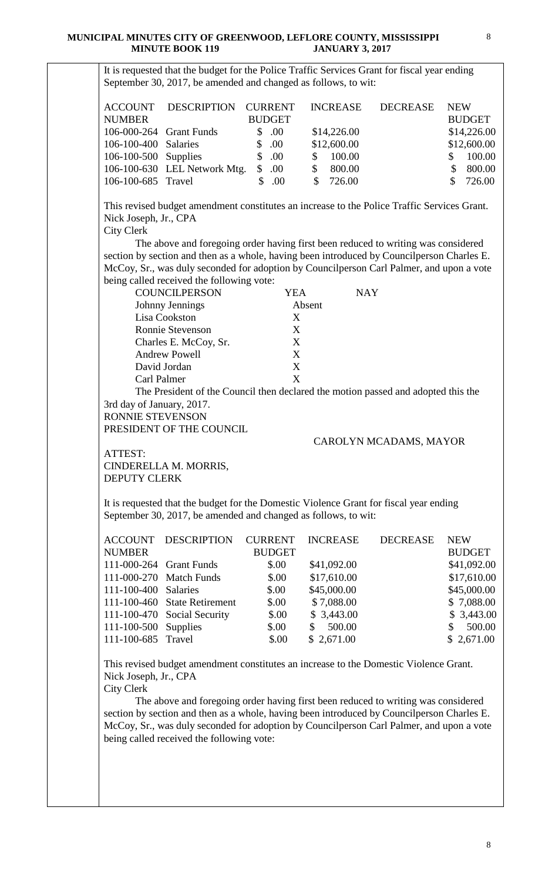It is requested that the budget for the Police Traffic Services Grant for fiscal year ending September 30, 2017, be amended and changed as follows, to wit: ACCOUNT DESCRIPTION CURRENT INCREASE DECREASE NEW NUMBER BUDGET BUDGET 106-000-264 Grant Funds \$ .00 \$14,226.00 \$14,226.00 106-100-400 Salaries \$ .00 \$12,600.00 \$12,600.00 106-100-500 Supplies \$ .00 \$ 100.00 \$ 100.00 106-100-630 LEL Network Mtg. \$ .00 \$ 800.00 \$ 800.00 106-100-685 Travel \$ .00 \$ 726.00 \$ 726.00 This revised budget amendment constitutes an increase to the Police Traffic Services Grant. Nick Joseph, Jr., CPA City Clerk The above and foregoing order having first been reduced to writing was considered section by section and then as a whole, having been introduced by Councilperson Charles E. McCoy, Sr., was duly seconded for adoption by Councilperson Carl Palmer, and upon a vote being called received the following vote: COUNCILPERSON YEA NAY Johnny Jennings Absent Lisa Cookston X Ronnie Stevenson X Charles E. McCoy, Sr. X Andrew Powell X David Jordan X Carl Palmer X The President of the Council then declared the motion passed and adopted this the 3rd day of January, 2017. RONNIE STEVENSON PRESIDENT OF THE COUNCIL CAROLYN MCADAMS, MAYOR ATTEST: CINDERELLA M. MORRIS, DEPUTY CLERK It is requested that the budget for the Domestic Violence Grant for fiscal year ending September 30, 2017, be amended and changed as follows, to wit: ACCOUNT DESCRIPTION CURRENT INCREASE DECREASE NEW NUMBER BUDGET BUDGET 111-000-264 Grant Funds \$.00 \$41,092.00 \$41,092.00 111-000-270 Match Funds \$.00 \$17,610.00 \$17,610.00 111-100-400 Salaries \$.00 \$45,000.00 \$45,000.00 111-100-460 State Retirement \$.00 \$ 7,088.00 \$ 7,088.00 111-100-470 Social Security \$.00 \$ 3,443.00 \$ 3,443.00 111-100-500 Supplies \$.00 \$ 500.00 \$ 500.00 111-100-685 Travel \$.00 \$ 2,671.00 \$ 2,671.00 This revised budget amendment constitutes an increase to the Domestic Violence Grant.

Nick Joseph, Jr., CPA

City Clerk

 The above and foregoing order having first been reduced to writing was considered section by section and then as a whole, having been introduced by Councilperson Charles E. McCoy, Sr., was duly seconded for adoption by Councilperson Carl Palmer, and upon a vote being called received the following vote: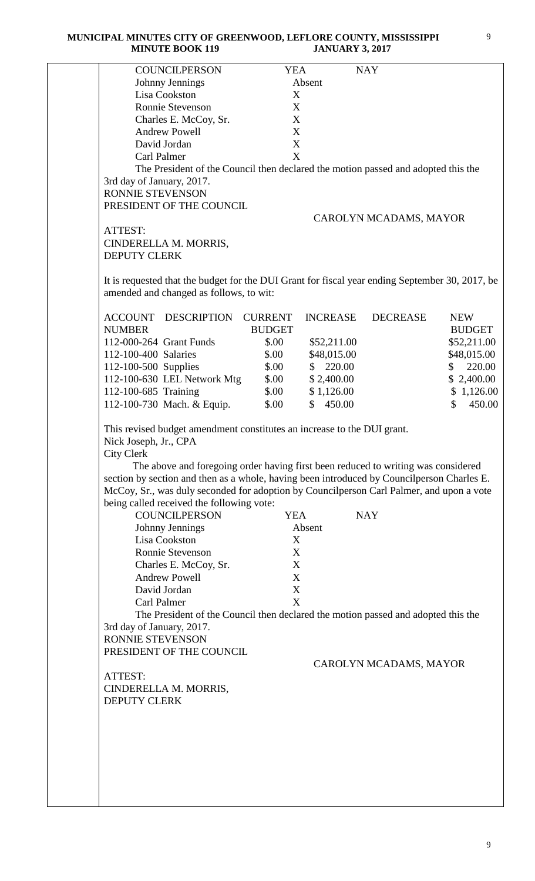| <b>COUNCILPERSON</b>                                                                                                                                                                                                                                                                                                                                                                                                                              | <b>YEA</b>     |                 | <b>NAY</b>             |               |
|---------------------------------------------------------------------------------------------------------------------------------------------------------------------------------------------------------------------------------------------------------------------------------------------------------------------------------------------------------------------------------------------------------------------------------------------------|----------------|-----------------|------------------------|---------------|
| Johnny Jennings                                                                                                                                                                                                                                                                                                                                                                                                                                   |                | Absent          |                        |               |
| Lisa Cookston                                                                                                                                                                                                                                                                                                                                                                                                                                     | X              |                 |                        |               |
| Ronnie Stevenson                                                                                                                                                                                                                                                                                                                                                                                                                                  | X              |                 |                        |               |
| Charles E. McCoy, Sr.                                                                                                                                                                                                                                                                                                                                                                                                                             | X              |                 |                        |               |
| <b>Andrew Powell</b>                                                                                                                                                                                                                                                                                                                                                                                                                              | X              |                 |                        |               |
| David Jordan                                                                                                                                                                                                                                                                                                                                                                                                                                      | X              |                 |                        |               |
| <b>Carl Palmer</b>                                                                                                                                                                                                                                                                                                                                                                                                                                | X              |                 |                        |               |
| The President of the Council then declared the motion passed and adopted this the                                                                                                                                                                                                                                                                                                                                                                 |                |                 |                        |               |
| 3rd day of January, 2017.                                                                                                                                                                                                                                                                                                                                                                                                                         |                |                 |                        |               |
| <b>RONNIE STEVENSON</b>                                                                                                                                                                                                                                                                                                                                                                                                                           |                |                 |                        |               |
| PRESIDENT OF THE COUNCIL                                                                                                                                                                                                                                                                                                                                                                                                                          |                |                 |                        |               |
|                                                                                                                                                                                                                                                                                                                                                                                                                                                   |                |                 | CAROLYN MCADAMS, MAYOR |               |
| ATTEST:                                                                                                                                                                                                                                                                                                                                                                                                                                           |                |                 |                        |               |
| CINDERELLA M. MORRIS,                                                                                                                                                                                                                                                                                                                                                                                                                             |                |                 |                        |               |
| <b>DEPUTY CLERK</b>                                                                                                                                                                                                                                                                                                                                                                                                                               |                |                 |                        |               |
|                                                                                                                                                                                                                                                                                                                                                                                                                                                   |                |                 |                        |               |
| It is requested that the budget for the DUI Grant for fiscal year ending September 30, 2017, be<br>amended and changed as follows, to wit:                                                                                                                                                                                                                                                                                                        |                |                 |                        |               |
|                                                                                                                                                                                                                                                                                                                                                                                                                                                   |                |                 |                        |               |
| ACCOUNT DESCRIPTION                                                                                                                                                                                                                                                                                                                                                                                                                               | <b>CURRENT</b> | <b>INCREASE</b> | <b>DECREASE</b>        | <b>NEW</b>    |
| <b>NUMBER</b>                                                                                                                                                                                                                                                                                                                                                                                                                                     | <b>BUDGET</b>  |                 |                        | <b>BUDGET</b> |
| 112-000-264 Grant Funds                                                                                                                                                                                                                                                                                                                                                                                                                           | \$.00          | \$52,211.00     |                        | \$52,211.00   |
| 112-100-400 Salaries                                                                                                                                                                                                                                                                                                                                                                                                                              | \$.00          | \$48,015.00     |                        | \$48,015.00   |
| 112-100-500 Supplies                                                                                                                                                                                                                                                                                                                                                                                                                              | \$.00          | \$220.00        |                        | 220.00<br>\$  |
| 112-100-630 LEL Network Mtg                                                                                                                                                                                                                                                                                                                                                                                                                       | \$.00          | \$2,400.00      |                        | \$2,400.00    |
| 112-100-685 Training                                                                                                                                                                                                                                                                                                                                                                                                                              | \$.00          | \$1,126.00      |                        | \$1,126.00    |
| 112-100-730 Mach. & Equip.                                                                                                                                                                                                                                                                                                                                                                                                                        | \$.00          | \$450.00        |                        | \$<br>450.00  |
|                                                                                                                                                                                                                                                                                                                                                                                                                                                   |                |                 |                        |               |
| This revised budget amendment constitutes an increase to the DUI grant.<br>Nick Joseph, Jr., CPA<br><b>City Clerk</b><br>The above and foregoing order having first been reduced to writing was considered<br>section by section and then as a whole, having been introduced by Councilperson Charles E.<br>McCoy, Sr., was duly seconded for adoption by Councilperson Carl Palmer, and upon a vote<br>being called received the following vote: |                |                 |                        |               |
| <b>COUNCILPERSON</b>                                                                                                                                                                                                                                                                                                                                                                                                                              | <b>YEA</b>     |                 | <b>NAY</b>             |               |
| Johnny Jennings                                                                                                                                                                                                                                                                                                                                                                                                                                   |                | Absent          |                        |               |
| Lisa Cookston                                                                                                                                                                                                                                                                                                                                                                                                                                     | X              |                 |                        |               |
| Ronnie Stevenson                                                                                                                                                                                                                                                                                                                                                                                                                                  | X              |                 |                        |               |
| Charles E. McCoy, Sr.                                                                                                                                                                                                                                                                                                                                                                                                                             | X              |                 |                        |               |
| <b>Andrew Powell</b>                                                                                                                                                                                                                                                                                                                                                                                                                              | X              |                 |                        |               |
| David Jordan                                                                                                                                                                                                                                                                                                                                                                                                                                      | X              |                 |                        |               |
| Carl Palmer                                                                                                                                                                                                                                                                                                                                                                                                                                       | X              |                 |                        |               |
| The President of the Council then declared the motion passed and adopted this the                                                                                                                                                                                                                                                                                                                                                                 |                |                 |                        |               |
| 3rd day of January, 2017.                                                                                                                                                                                                                                                                                                                                                                                                                         |                |                 |                        |               |
| RONNIE STEVENSON                                                                                                                                                                                                                                                                                                                                                                                                                                  |                |                 |                        |               |
| PRESIDENT OF THE COUNCIL                                                                                                                                                                                                                                                                                                                                                                                                                          |                |                 |                        |               |
|                                                                                                                                                                                                                                                                                                                                                                                                                                                   |                |                 | CAROLYN MCADAMS, MAYOR |               |
| ATTEST:                                                                                                                                                                                                                                                                                                                                                                                                                                           |                |                 |                        |               |
| CINDERELLA M. MORRIS,                                                                                                                                                                                                                                                                                                                                                                                                                             |                |                 |                        |               |
| <b>DEPUTY CLERK</b>                                                                                                                                                                                                                                                                                                                                                                                                                               |                |                 |                        |               |
|                                                                                                                                                                                                                                                                                                                                                                                                                                                   |                |                 |                        |               |
|                                                                                                                                                                                                                                                                                                                                                                                                                                                   |                |                 |                        |               |
|                                                                                                                                                                                                                                                                                                                                                                                                                                                   |                |                 |                        |               |
|                                                                                                                                                                                                                                                                                                                                                                                                                                                   |                |                 |                        |               |
|                                                                                                                                                                                                                                                                                                                                                                                                                                                   |                |                 |                        |               |
|                                                                                                                                                                                                                                                                                                                                                                                                                                                   |                |                 |                        |               |
|                                                                                                                                                                                                                                                                                                                                                                                                                                                   |                |                 |                        |               |
|                                                                                                                                                                                                                                                                                                                                                                                                                                                   |                |                 |                        |               |
|                                                                                                                                                                                                                                                                                                                                                                                                                                                   |                |                 |                        |               |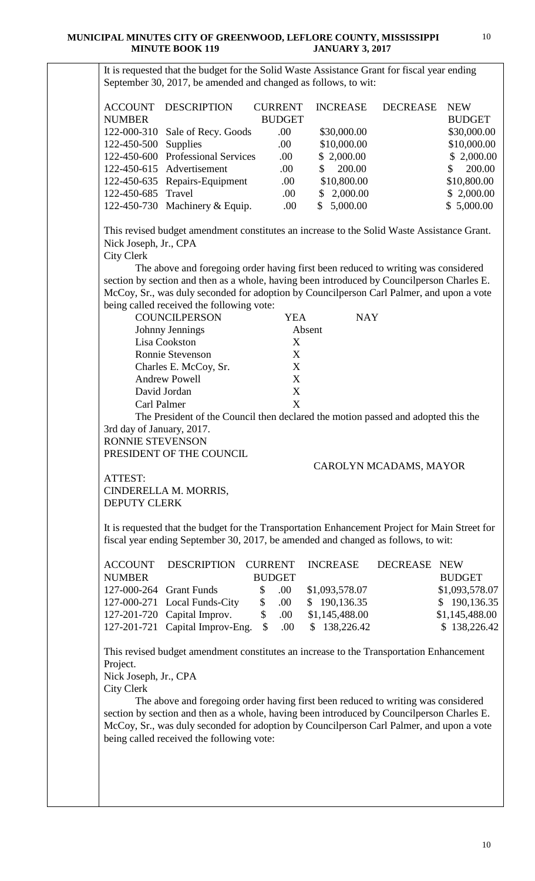It is requested that the budget for the Solid Waste Assistance Grant for fiscal year ending September 30, 2017, be amended and changed as follows, to wit: ACCOUNT DESCRIPTION CURRENT INCREASE DECREASE NEW NUMBER BUDGET BUDGET 122-000-310 Sale of Recy. Goods .00 \$30,000.00 \$30,000.00 122-450-500 Supplies .00 \$10,000.00 \$10,000.00 \$10,000.00 122-450-600 Professional Services .00 \$ 2,000.00 \$ 2,000.00 122-450-615 Advertisement .00 \$ 200.00 \$ 200.00 122-450-635 Repairs-Equipment .00 \$10,800.00 \$10,800.00 122-450-685 Travel .00 \$ 2,000.00 \$ 2,000.00 122-450-730 Machinery & Equip. ... .00 \$ 5,000.00 \$ 5,000.00 This revised budget amendment constitutes an increase to the Solid Waste Assistance Grant. Nick Joseph, Jr., CPA City Clerk The above and foregoing order having first been reduced to writing was considered section by section and then as a whole, having been introduced by Councilperson Charles E. McCoy, Sr., was duly seconded for adoption by Councilperson Carl Palmer, and upon a vote being called received the following vote: COUNCILPERSON YEA NAY Johnny Jennings Absent Lisa Cookston X Ronnie Stevenson X Charles E. McCoy, Sr. X Andrew Powell X David Jordan X Carl Palmer X The President of the Council then declared the motion passed and adopted this the 3rd day of January, 2017. RONNIE STEVENSON PRESIDENT OF THE COUNCIL CAROLYN MCADAMS, MAYOR ATTEST: CINDERELLA M. MORRIS, DEPUTY CLERK It is requested that the budget for the Transportation Enhancement Project for Main Street for fiscal year ending September 30, 2017, be amended and changed as follows, to wit: ACCOUNT DESCRIPTION CURRENT INCREASE DECREASE NEW NUMBER BUDGET BUDGET 127-000-264 Grant Funds \$ .00 \$1,093,578.07 \$1,093,578.07 127-000-271 Local Funds-City \$ .00 \$ 190,136.35 \$ 190,136.35 127-201-720 Capital Improv. \$ .00 \$1,145,488.00 \$1,145,488.00 127-201-721 Capital Improv-Eng. \$ .00 \$ 138,226.42 \$ 138,226.42 This revised budget amendment constitutes an increase to the Transportation Enhancement Project. Nick Joseph, Jr., CPA City Clerk The above and foregoing order having first been reduced to writing was considered section by section and then as a whole, having been introduced by Councilperson Charles E. McCoy, Sr., was duly seconded for adoption by Councilperson Carl Palmer, and upon a vote being called received the following vote: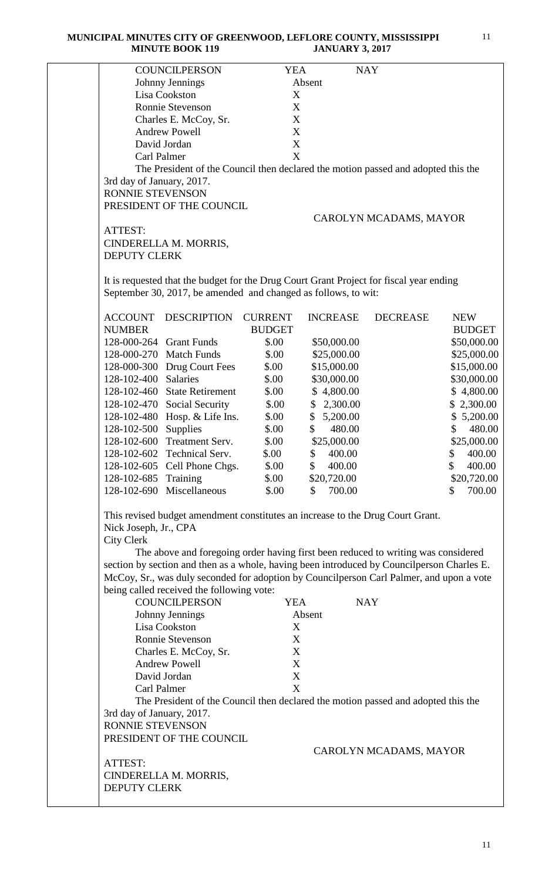|                           | <b>COUNCILPERSON</b>                                                                       | <b>YEA</b>       |                        | <b>NAY</b>             |               |
|---------------------------|--------------------------------------------------------------------------------------------|------------------|------------------------|------------------------|---------------|
|                           | Johnny Jennings                                                                            |                  | Absent                 |                        |               |
|                           | Lisa Cookston                                                                              | X                |                        |                        |               |
|                           | Ronnie Stevenson                                                                           | X                |                        |                        |               |
|                           | Charles E. McCoy, Sr.                                                                      | X                |                        |                        |               |
|                           | <b>Andrew Powell</b>                                                                       | $\boldsymbol{X}$ |                        |                        |               |
|                           | David Jordan                                                                               | $\mathbf X$      |                        |                        |               |
|                           | Carl Palmer                                                                                | X                |                        |                        |               |
|                           | The President of the Council then declared the motion passed and adopted this the          |                  |                        |                        |               |
| 3rd day of January, 2017. |                                                                                            |                  |                        |                        |               |
| RONNIE STEVENSON          |                                                                                            |                  |                        |                        |               |
|                           | PRESIDENT OF THE COUNCIL                                                                   |                  |                        |                        |               |
|                           |                                                                                            |                  |                        | CAROLYN MCADAMS, MAYOR |               |
| ATTEST:                   |                                                                                            |                  |                        |                        |               |
|                           | CINDERELLA M. MORRIS,                                                                      |                  |                        |                        |               |
| <b>DEPUTY CLERK</b>       |                                                                                            |                  |                        |                        |               |
|                           |                                                                                            |                  |                        |                        |               |
|                           | It is requested that the budget for the Drug Court Grant Project for fiscal year ending    |                  |                        |                        |               |
|                           | September 30, 2017, be amended and changed as follows, to wit:                             |                  |                        |                        |               |
|                           |                                                                                            |                  |                        |                        |               |
| <b>ACCOUNT</b>            | <b>DESCRIPTION</b>                                                                         | <b>CURRENT</b>   | <b>INCREASE</b>        | <b>DECREASE</b>        | <b>NEW</b>    |
| <b>NUMBER</b>             |                                                                                            | <b>BUDGET</b>    |                        |                        | <b>BUDGET</b> |
| 128-000-264               | <b>Grant Funds</b>                                                                         | \$.00            | \$50,000.00            |                        | \$50,000.00   |
|                           | 128-000-270 Match Funds                                                                    | \$.00            | \$25,000.00            |                        | \$25,000.00   |
|                           | 128-000-300 Drug Court Fees                                                                | \$.00            | \$15,000.00            |                        | \$15,000.00   |
| 128-102-400               | <b>Salaries</b>                                                                            | \$.00            | \$30,000.00            |                        | \$30,000.00   |
| 128-102-460               | <b>State Retirement</b>                                                                    | \$.00            | \$4,800.00             |                        | \$4,800.00    |
|                           | 128-102-470 Social Security                                                                | \$.00            | \$2,300.00             |                        | \$2,300.00    |
| 128-102-480               | Hosp. & Life Ins.                                                                          | \$.00            | \$<br>5,200.00         |                        | \$5,200.00    |
| 128-102-500               | Supplies                                                                                   | \$.00            | $\mathbb{S}$<br>480.00 |                        | 480.00<br>\$  |
| 128-102-600               | Treatment Serv.                                                                            | \$.00            | \$25,000.00            |                        | \$25,000.00   |
|                           | 128-102-602 Technical Serv.                                                                | \$.00            | 400.00<br>\$           |                        | 400.00<br>\$  |
|                           | 128-102-605 Cell Phone Chgs.                                                               | \$.00            | 400.00<br>\$           |                        | 400.00<br>\$  |
|                           |                                                                                            |                  |                        |                        | \$20,720.00   |
| 128-102-685 Training      |                                                                                            | \$.00            | \$20,720.00            |                        |               |
|                           | 128-102-690 Miscellaneous                                                                  | \$.00            | $\mathbb{S}$<br>700.00 |                        | 700.00<br>S.  |
|                           |                                                                                            |                  |                        |                        |               |
|                           | This revised budget amendment constitutes an increase to the Drug Court Grant.             |                  |                        |                        |               |
| Nick Joseph, Jr., CPA     |                                                                                            |                  |                        |                        |               |
| <b>City Clerk</b>         |                                                                                            |                  |                        |                        |               |
|                           | The above and foregoing order having first been reduced to writing was considered          |                  |                        |                        |               |
|                           | section by section and then as a whole, having been introduced by Councilperson Charles E. |                  |                        |                        |               |
|                           | McCoy, Sr., was duly seconded for adoption by Councilperson Carl Palmer, and upon a vote   |                  |                        |                        |               |
|                           | being called received the following vote:                                                  |                  |                        |                        |               |
|                           | <b>COUNCILPERSON</b>                                                                       | <b>YEA</b>       |                        | <b>NAY</b>             |               |
|                           | Johnny Jennings                                                                            |                  | Absent                 |                        |               |
|                           | Lisa Cookston                                                                              | X                |                        |                        |               |
|                           | Ronnie Stevenson                                                                           | X                |                        |                        |               |
|                           | Charles E. McCoy, Sr.                                                                      | X                |                        |                        |               |
|                           | <b>Andrew Powell</b>                                                                       | X                |                        |                        |               |
|                           | David Jordan                                                                               | $\mathbf X$      |                        |                        |               |
|                           | Carl Palmer                                                                                | X                |                        |                        |               |
|                           | The President of the Council then declared the motion passed and adopted this the          |                  |                        |                        |               |
| 3rd day of January, 2017. |                                                                                            |                  |                        |                        |               |
| RONNIE STEVENSON          |                                                                                            |                  |                        |                        |               |
|                           | PRESIDENT OF THE COUNCIL                                                                   |                  |                        |                        |               |
|                           |                                                                                            |                  |                        | CAROLYN MCADAMS, MAYOR |               |
| ATTEST:                   |                                                                                            |                  |                        |                        |               |
|                           |                                                                                            |                  |                        |                        |               |
| <b>DEPUTY CLERK</b>       | CINDERELLA M. MORRIS,                                                                      |                  |                        |                        |               |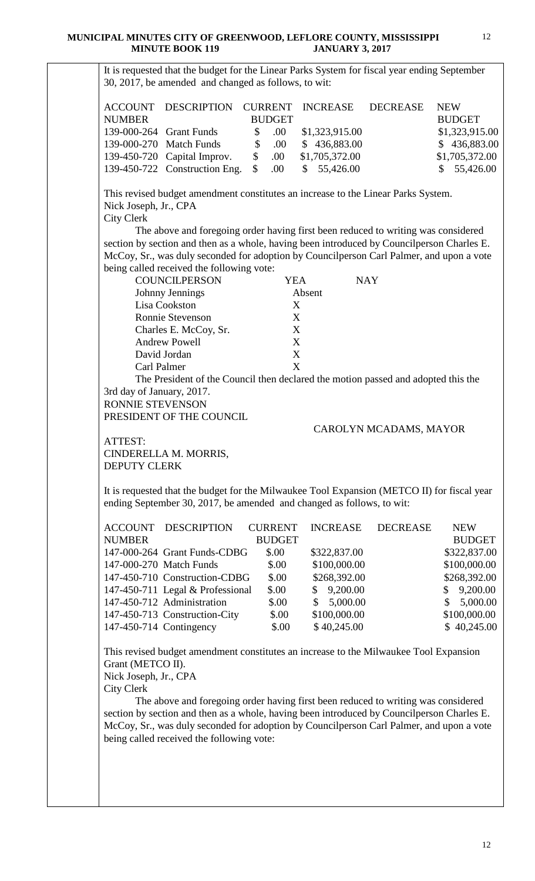It is requested that the budget for the Linear Parks System for fiscal year ending September 30, 2017, be amended and changed as follows, to wit: ACCOUNT DESCRIPTION CURRENT INCREASE DECREASE NEW NUMBER BUDGET BUDGET 139-000-264 Grant Funds \$ .00 \$1,323,915.00 \$1,323,915.00 139-000-270 Match Funds \$ .00 \$ 436,883.00 \$ 436,883.00 139-450-720 Capital Improv. \$ .00 \$1,705,372.00 \$1,705,372.00 139-450-722 Construction Eng. \$ .00 \$ 55,426.00 \$ 55,426.00 This revised budget amendment constitutes an increase to the Linear Parks System. Nick Joseph, Jr., CPA City Clerk The above and foregoing order having first been reduced to writing was considered section by section and then as a whole, having been introduced by Councilperson Charles E. McCoy, Sr., was duly seconded for adoption by Councilperson Carl Palmer, and upon a vote being called received the following vote: COUNCILPERSON YEA NAY Johnny Jennings Absent Lisa Cookston X Ronnie Stevenson X Charles E. McCoy, Sr. X<br>Andrew Powell X Andrew Powell David Jordan X Carl Palmer X The President of the Council then declared the motion passed and adopted this the 3rd day of January, 2017. RONNIE STEVENSON PRESIDENT OF THE COUNCIL CAROLYN MCADAMS, MAYOR ATTEST: CINDERELLA M. MORRIS, DEPUTY CLERK It is requested that the budget for the Milwaukee Tool Expansion (METCO II) for fiscal year ending September 30, 2017, be amended and changed as follows, to wit: ACCOUNT DESCRIPTION CURRENT INCREASE DECREASE NEW NUMBER BUDGET BUDGET 147-000-264 Grant Funds-CDBG \$.00 \$322,837.00 \$322,837.00 147-000-270 Match Funds \$.00 \$100,000.00 \$100,000.00 147-450-710 Construction-CDBG \$.00 \$268,392.00 \$268,392.00 147-450-711 Legal & Professional \$.00 \$ 9,200.00 \$ 9,200.00 147-450-712 Administration  $$00 \t $5,000.00 \t $5,000.00$ 147-450-713 Construction-City  $$.00$   $$100,000.00$  \$100,000.00 \$100,000.00 147-450-714 Contingency \$.00 \$ 40,245.00 \$ 40,245.00 This revised budget amendment constitutes an increase to the Milwaukee Tool Expansion Grant (METCO II). Nick Joseph, Jr., CPA City Clerk The above and foregoing order having first been reduced to writing was considered section by section and then as a whole, having been introduced by Councilperson Charles E. McCoy, Sr., was duly seconded for adoption by Councilperson Carl Palmer, and upon a vote being called received the following vote: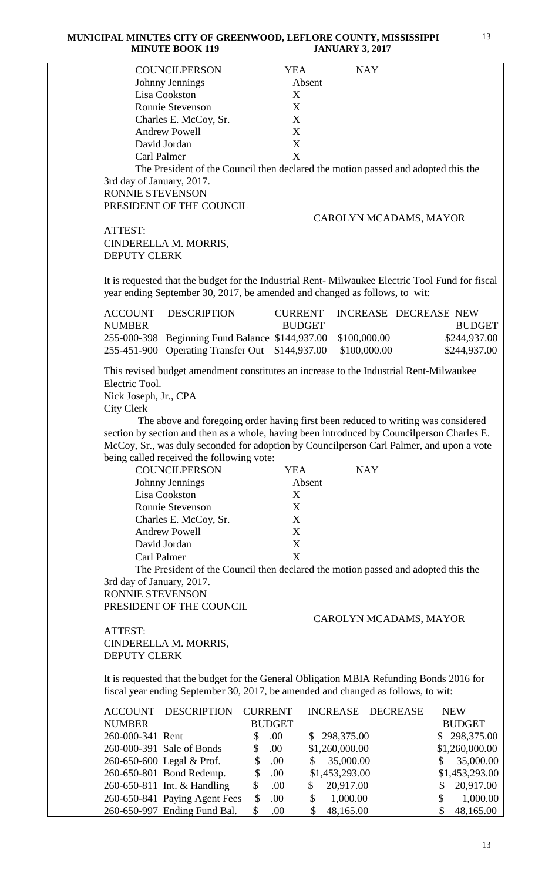|                                                                                                 | <b>COUNCILPERSON</b>                                                              | <b>YEA</b>                                     |                                   | <b>NAY</b>             |                             |
|-------------------------------------------------------------------------------------------------|-----------------------------------------------------------------------------------|------------------------------------------------|-----------------------------------|------------------------|-----------------------------|
| Johnny Jennings                                                                                 |                                                                                   |                                                | Absent                            |                        |                             |
| Lisa Cookston                                                                                   |                                                                                   | X                                              |                                   |                        |                             |
| Ronnie Stevenson                                                                                |                                                                                   | X                                              |                                   |                        |                             |
|                                                                                                 | Charles E. McCoy, Sr.                                                             | X                                              |                                   |                        |                             |
| <b>Andrew Powell</b>                                                                            |                                                                                   | X                                              |                                   |                        |                             |
| David Jordan                                                                                    |                                                                                   | $\mathbf X$                                    |                                   |                        |                             |
| Carl Palmer                                                                                     |                                                                                   | X                                              |                                   |                        |                             |
|                                                                                                 | The President of the Council then declared the motion passed and adopted this the |                                                |                                   |                        |                             |
| 3rd day of January, 2017.                                                                       |                                                                                   |                                                |                                   |                        |                             |
| RONNIE STEVENSON                                                                                |                                                                                   |                                                |                                   |                        |                             |
| PRESIDENT OF THE COUNCIL                                                                        |                                                                                   |                                                |                                   |                        |                             |
|                                                                                                 |                                                                                   |                                                |                                   | CAROLYN MCADAMS, MAYOR |                             |
| ATTEST:                                                                                         |                                                                                   |                                                |                                   |                        |                             |
| CINDERELLA M. MORRIS,                                                                           |                                                                                   |                                                |                                   |                        |                             |
| <b>DEPUTY CLERK</b>                                                                             |                                                                                   |                                                |                                   |                        |                             |
|                                                                                                 |                                                                                   |                                                |                                   |                        |                             |
| It is requested that the budget for the Industrial Rent-Milwaukee Electric Tool Fund for fiscal |                                                                                   |                                                |                                   |                        |                             |
| year ending September 30, 2017, be amended and changed as follows, to wit:                      |                                                                                   |                                                |                                   |                        |                             |
|                                                                                                 |                                                                                   |                                                |                                   |                        |                             |
| <b>ACCOUNT</b>                                                                                  | <b>DESCRIPTION</b>                                                                | <b>CURRENT</b>                                 |                                   | INCREASE DECREASE NEW  |                             |
| <b>NUMBER</b>                                                                                   |                                                                                   | <b>BUDGET</b>                                  |                                   |                        | <b>BUDGET</b>               |
| 255-000-398 Beginning Fund Balance \$144,937.00                                                 |                                                                                   |                                                |                                   | \$100,000.00           | \$244,937.00                |
| 255-451-900 Operating Transfer Out \$144,937.00                                                 |                                                                                   |                                                |                                   | \$100,000.00           | \$244,937.00                |
|                                                                                                 |                                                                                   |                                                |                                   |                        |                             |
| This revised budget amendment constitutes an increase to the Industrial Rent-Milwaukee          |                                                                                   |                                                |                                   |                        |                             |
| Electric Tool.                                                                                  |                                                                                   |                                                |                                   |                        |                             |
| Nick Joseph, Jr., CPA                                                                           |                                                                                   |                                                |                                   |                        |                             |
| <b>City Clerk</b>                                                                               |                                                                                   |                                                |                                   |                        |                             |
|                                                                                                 | The above and foregoing order having first been reduced to writing was considered |                                                |                                   |                        |                             |
| section by section and then as a whole, having been introduced by Councilperson Charles E.      |                                                                                   |                                                |                                   |                        |                             |
| McCoy, Sr., was duly seconded for adoption by Councilperson Carl Palmer, and upon a vote        |                                                                                   |                                                |                                   |                        |                             |
| being called received the following vote:                                                       |                                                                                   |                                                |                                   |                        |                             |
|                                                                                                 | <b>COUNCILPERSON</b>                                                              | <b>YEA</b>                                     |                                   | <b>NAY</b>             |                             |
| Johnny Jennings                                                                                 |                                                                                   |                                                | Absent                            |                        |                             |
| Lisa Cookston                                                                                   |                                                                                   | X                                              |                                   |                        |                             |
| <b>Ronnie Stevenson</b>                                                                         |                                                                                   | X                                              |                                   |                        |                             |
|                                                                                                 | Charles E. McCoy, Sr.                                                             | X                                              |                                   |                        |                             |
| <b>Andrew Powell</b>                                                                            |                                                                                   | X                                              |                                   |                        |                             |
| David Jordan                                                                                    |                                                                                   | X                                              |                                   |                        |                             |
| Carl Palmer                                                                                     |                                                                                   | X                                              |                                   |                        |                             |
|                                                                                                 | The President of the Council then declared the motion passed and adopted this the |                                                |                                   |                        |                             |
| 3rd day of January, 2017.                                                                       |                                                                                   |                                                |                                   |                        |                             |
| RONNIE STEVENSON                                                                                |                                                                                   |                                                |                                   |                        |                             |
|                                                                                                 |                                                                                   |                                                |                                   |                        |                             |
| PRESIDENT OF THE COUNCIL                                                                        |                                                                                   |                                                |                                   |                        |                             |
|                                                                                                 |                                                                                   |                                                |                                   | CAROLYN MCADAMS, MAYOR |                             |
| ATTEST:                                                                                         |                                                                                   |                                                |                                   |                        |                             |
| CINDERELLA M. MORRIS,                                                                           |                                                                                   |                                                |                                   |                        |                             |
| <b>DEPUTY CLERK</b>                                                                             |                                                                                   |                                                |                                   |                        |                             |
|                                                                                                 |                                                                                   |                                                |                                   |                        |                             |
| It is requested that the budget for the General Obligation MBIA Refunding Bonds 2016 for        |                                                                                   |                                                |                                   |                        |                             |
| fiscal year ending September 30, 2017, be amended and changed as follows, to wit:               |                                                                                   |                                                |                                   |                        |                             |
| ACCOUNT                                                                                         | <b>DESCRIPTION</b>                                                                | <b>CURRENT</b>                                 | <b>INCREASE</b>                   | <b>DECREASE</b>        | <b>NEW</b>                  |
| <b>NUMBER</b>                                                                                   |                                                                                   | <b>BUDGET</b>                                  |                                   |                        | <b>BUDGET</b>               |
| 260-000-341 Rent                                                                                |                                                                                   | \$<br>.00                                      | 298,375.00<br>\$                  |                        | 298,375.00<br>\$            |
| 260-000-391 Sale of Bonds                                                                       |                                                                                   | \$<br>.00                                      | \$1,260,000.00                    |                        | \$1,260,000.00              |
|                                                                                                 |                                                                                   |                                                |                                   |                        | \$                          |
| 260-650-600 Legal & Prof.                                                                       |                                                                                   | \$<br>.00                                      | \$<br>35,000.00                   |                        | 35,000.00                   |
| 260-650-801 Bond Redemp.                                                                        |                                                                                   | \$<br>.00.                                     | \$1,453,293.00                    |                        | \$1,453,293.00              |
| 260-650-811 Int. & Handling                                                                     |                                                                                   | \$<br>.00                                      | 20,917.00<br>\$                   |                        | 20,917.00<br>\$             |
| 260-650-841 Paying Agent Fees                                                                   | 260-650-997 Ending Fund Bal.                                                      | $\boldsymbol{\mathsf{S}}$<br>.00.<br>\$<br>.00 | \$<br>1,000.00<br>\$<br>48,165.00 |                        | \$<br>1,000.00<br>48,165.00 |
|                                                                                                 |                                                                                   |                                                |                                   |                        | \$                          |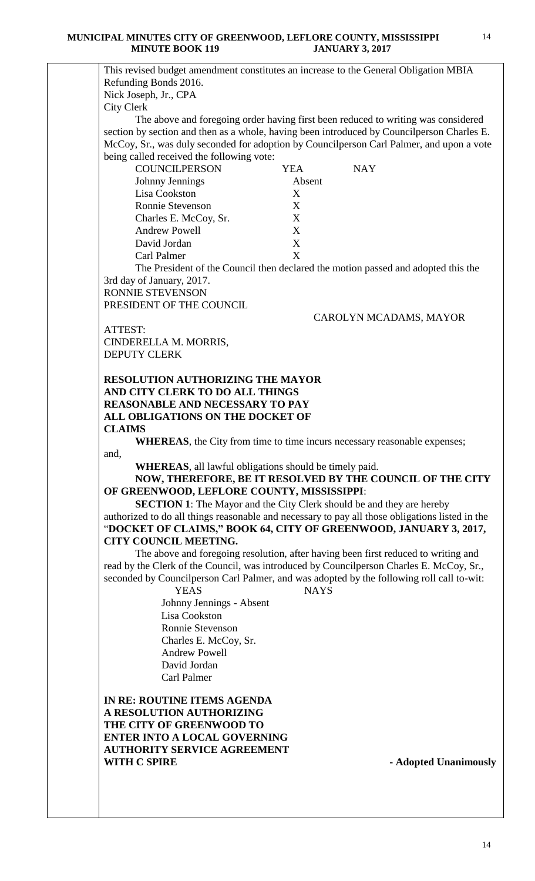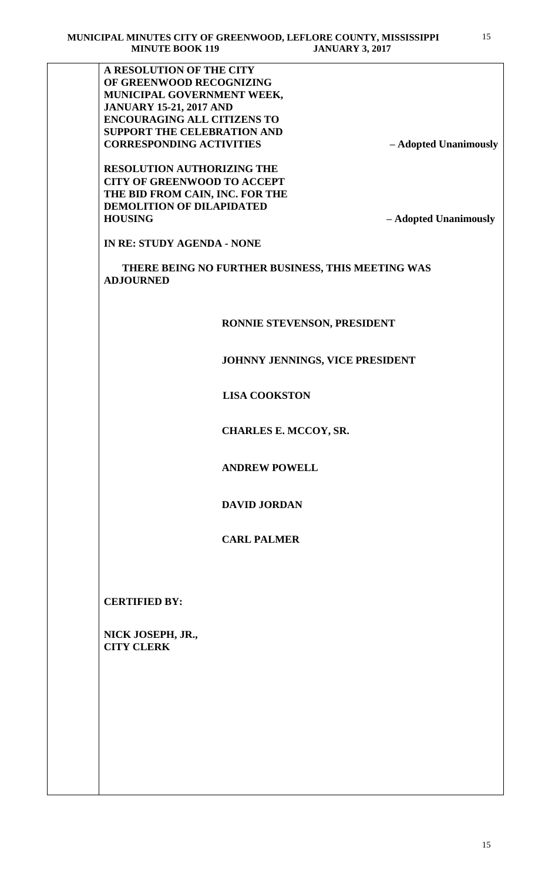**A RESOLUTION OF THE CITY OF GREENWOOD RECOGNIZING MUNICIPAL GOVERNMENT WEEK, JANUARY 15-21, 2017 AND ENCOURAGING ALL CITIZENS TO SUPPORT THE CELEBRATION AND CORRESPONDING ACTIVITIES – Adopted Unanimously RESOLUTION AUTHORIZING THE CITY OF GREENWOOD TO ACCEPT THE BID FROM CAIN, INC. FOR THE DEMOLITION OF DILAPIDATED HOUSING – Adopted Unanimously IN RE: STUDY AGENDA - NONE THERE BEING NO FURTHER BUSINESS, THIS MEETING WAS ADJOURNED RONNIE STEVENSON, PRESIDENT JOHNNY JENNINGS, VICE PRESIDENT LISA COOKSTON CHARLES E. MCCOY, SR. ANDREW POWELL DAVID JORDAN CARL PALMER CERTIFIED BY: NICK JOSEPH, JR., CITY CLERK**